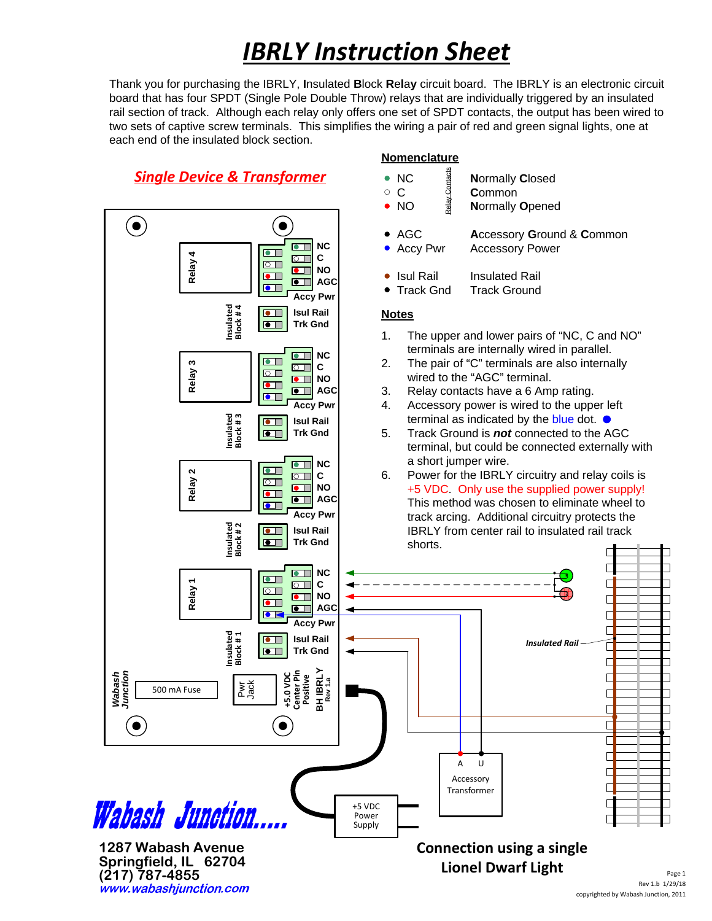## *IBRLY Instruction Sheet*

Thank you for purchasing the IBRLY, **I**nsulated **B**lock **R**e**l**a**y** circuit board. The IBRLY is an electronic circuit board that has four SPDT (Single Pole Double Throw) relays that are individually triggered by an insulated rail section of track. Although each relay only offers one set of SPDT contacts, the output has been wired to two sets of captive screw terminals. This simplifies the wiring a pair of red and green signal lights, one at each end of the insulated block section.

**Nomenclature**

### *Single Device & Transformer*

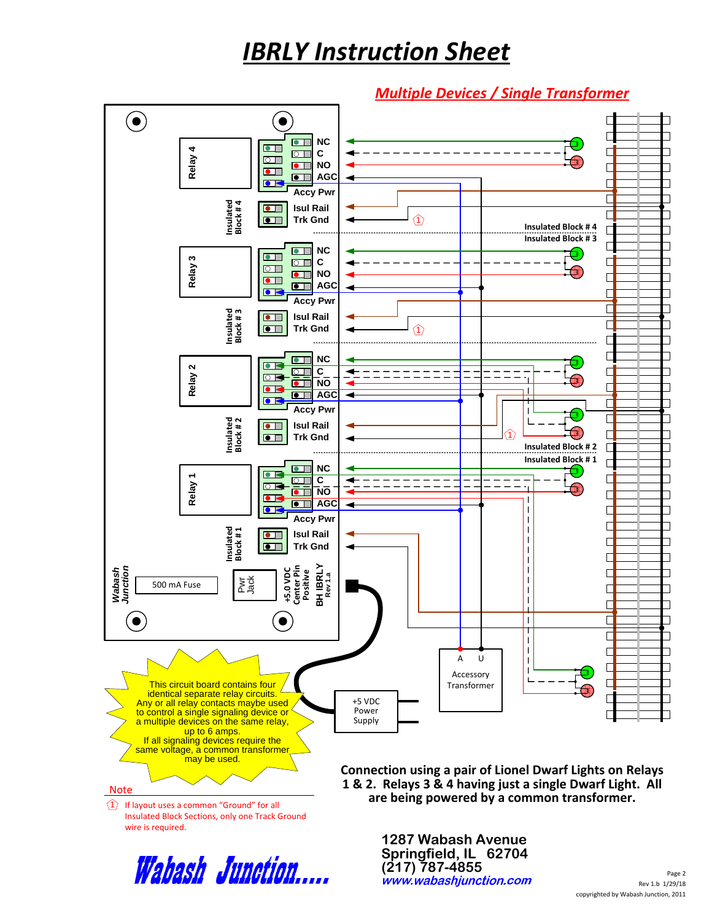## *IBRLY Instruction Sheet*

#### *Multiple Devices / Single Transformer*





**1287 Wabash Avenue Springfield, IL 62704 (217) 787-4855**

Rev 1.b 1/29/18 Page 2 copyrighted by Wabash Junction, 2011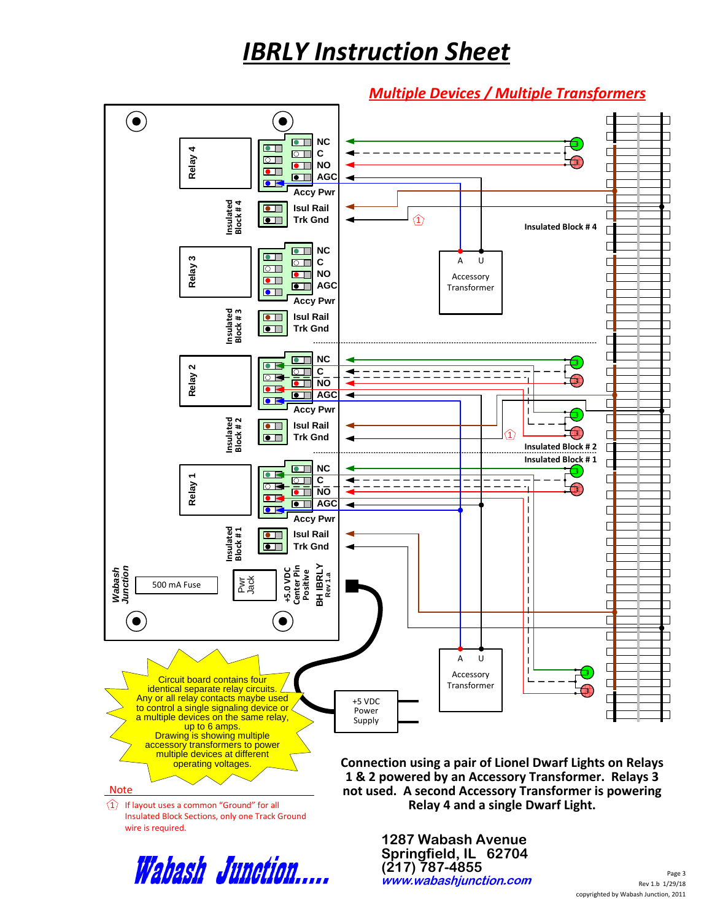## *IBRLY Instruction Sheet*

#### *Multiple Devices / Multiple Transformers*



Wabash Junction.....

**1287 Wabash Avenue Springfield, IL 62704 (217) 787-4855**